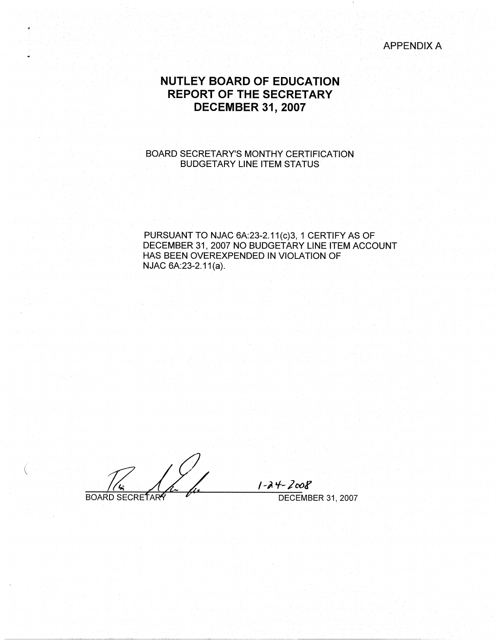APPENDIX A

# **NUTLEY BOARD OF EDUCATION REPORT OF THE SECRETARY DECEMBER 31, 2007**

### BOARD SECRETARY'S MONTHY CERTIFICATION BUDGETARY LINE ITEM STATUS

PURSUANT TO NJAC 6A:23-2.11(c)3, 1 CERTIFY AS OF DECEMBER 31, 2007 NO BUDGETARY LINE ITEM ACCOUNT HAS BEEN OVEREXPENDED IN VIOLATION OF NJAC 6A:23-2.11(a).

**BOARD SECRETARY** 

(

/ -;. 'f- *J* ootf DECEMBER 31, 2007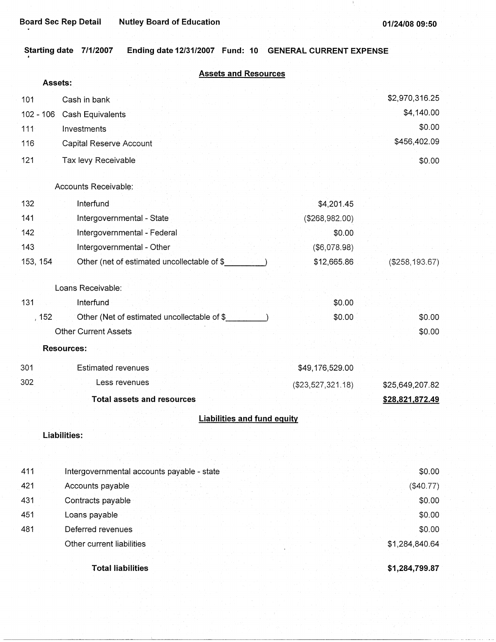|  | Starting date 7/1/2007 Ending date 12/31/2007 Fund: 10 GENERAL CURRENT EXPENSE |  |  |
|--|--------------------------------------------------------------------------------|--|--|
|  |                                                                                |  |  |

|          | <b>Assets and Resources</b>                  |                    |                   |
|----------|----------------------------------------------|--------------------|-------------------|
|          | Assets:                                      |                    |                   |
| 101      | Cash in bank                                 |                    | \$2,970,316.25    |
|          | 102 - 106 Cash Equivalents                   |                    | \$4,140.00        |
| $111 -$  | Investments                                  |                    | \$0.00            |
| 116      | Capital Reserve Account                      |                    | \$456,402.09      |
| 121      | Tax levy Receivable                          |                    | \$0.00            |
|          | Accounts Receivable:                         |                    |                   |
| 132      | Interfund                                    | \$4,201.45         |                   |
| 141      | Intergovernmental - State                    | (\$268,982.00)     |                   |
| 142      | Intergovernmental - Federal                  | \$0.00             |                   |
| 143      | Intergovernmental - Other                    | (\$6,078.98)       |                   |
| 153, 154 | Other (net of estimated uncollectable of \$_ | \$12,665.86        | $($ \$258,193.67) |
|          | Loans Receivable:                            |                    |                   |
| 131      | Interfund                                    | \$0.00             |                   |
| , 152    | Other (Net of estimated uncollectable of \$  | \$0.00             | \$0.00            |
|          | <b>Other Current Assets</b>                  |                    | \$0.00            |
|          | <b>Resources:</b>                            |                    |                   |
| 301      | <b>Estimated revenues</b>                    | \$49,176,529.00    |                   |
| 302      | Less revenues                                | ( \$23,527,321.18) | \$25,649,207.82   |
|          | <b>Total assets and resources</b>            |                    | \$28,821,872.49   |
|          | <b>Liabilities and fund equity</b>           |                    |                   |
|          | <b>Liabilities:</b>                          |                    |                   |
|          |                                              |                    |                   |
| 411      | Intergovernmental accounts payable - state   |                    | \$0.00            |
| 421      | Accounts payable                             |                    | (\$40.77)         |
| 431      | Contracts payable                            |                    | \$0.00            |
| 451      | Loans payable                                |                    | \$0.00            |
| 481      | Deferred revenues                            |                    | \$0.00            |
|          | Other current liabilities                    |                    | \$1,284,840.64    |
|          | <b>Total liabilities</b>                     |                    | \$1,284,799.87    |

-------~--~~--~-----------------------------·---~-------------- ---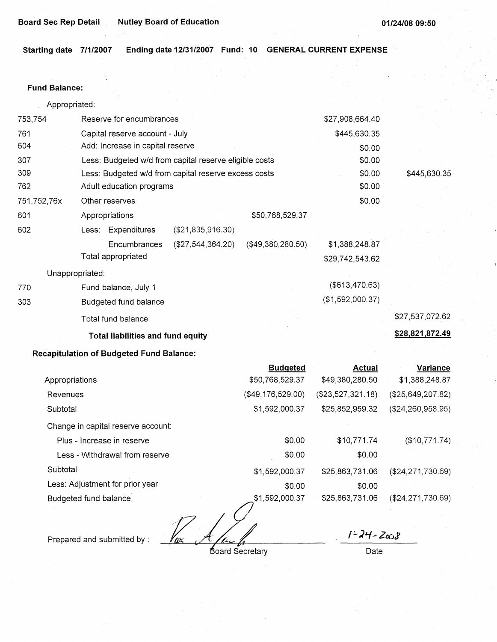**Starting date 7/1/2007 Ending date 12/31/2007 Fund: 10 GENERAL CURRENT EXPENSE** 

### **Fund Balance:**

| Appropriated: |  |
|---------------|--|
|---------------|--|

| 761<br>Capital reserve account - July<br>\$445,630.35<br>604<br>Add: Increase in capital reserve<br>\$0.00<br>307<br>Less: Budgeted w/d from capital reserve eligible costs<br>\$0.00<br>309<br>\$0.00<br>Less: Budgeted w/d from capital reserve excess costs<br>\$0.00<br>762<br>Adult education programs<br>\$0.00<br>751,752,76x<br>Other reserves<br>601<br>\$50,768,529.37<br>Appropriations<br>602<br>(\$21,835,916.30)<br>Less: Expenditures<br>$($ \$49,380,280.50)<br>Encumbrances<br>(\$27,544,364.20)<br>\$1,388,248.87<br>Total appropriated<br>\$29,742,543.62<br>Unappropriated:<br>(\$613,470.63)<br>Fund balance, July 1<br>770<br>(\$1,592,000.37)<br>303<br>Budgeted fund balance<br>Total fund balance<br><b>Total liabilities and fund equity</b> | 753,754 | Reserve for encumbrances | \$27,908,664.40 |                 |
|------------------------------------------------------------------------------------------------------------------------------------------------------------------------------------------------------------------------------------------------------------------------------------------------------------------------------------------------------------------------------------------------------------------------------------------------------------------------------------------------------------------------------------------------------------------------------------------------------------------------------------------------------------------------------------------------------------------------------------------------------------------------|---------|--------------------------|-----------------|-----------------|
|                                                                                                                                                                                                                                                                                                                                                                                                                                                                                                                                                                                                                                                                                                                                                                        |         |                          |                 |                 |
|                                                                                                                                                                                                                                                                                                                                                                                                                                                                                                                                                                                                                                                                                                                                                                        |         |                          |                 |                 |
|                                                                                                                                                                                                                                                                                                                                                                                                                                                                                                                                                                                                                                                                                                                                                                        |         |                          |                 |                 |
|                                                                                                                                                                                                                                                                                                                                                                                                                                                                                                                                                                                                                                                                                                                                                                        |         |                          |                 | \$445,630.35    |
|                                                                                                                                                                                                                                                                                                                                                                                                                                                                                                                                                                                                                                                                                                                                                                        |         |                          |                 |                 |
|                                                                                                                                                                                                                                                                                                                                                                                                                                                                                                                                                                                                                                                                                                                                                                        |         |                          |                 |                 |
|                                                                                                                                                                                                                                                                                                                                                                                                                                                                                                                                                                                                                                                                                                                                                                        |         |                          |                 |                 |
|                                                                                                                                                                                                                                                                                                                                                                                                                                                                                                                                                                                                                                                                                                                                                                        |         |                          |                 |                 |
|                                                                                                                                                                                                                                                                                                                                                                                                                                                                                                                                                                                                                                                                                                                                                                        |         |                          |                 |                 |
|                                                                                                                                                                                                                                                                                                                                                                                                                                                                                                                                                                                                                                                                                                                                                                        |         |                          |                 |                 |
|                                                                                                                                                                                                                                                                                                                                                                                                                                                                                                                                                                                                                                                                                                                                                                        |         |                          |                 |                 |
|                                                                                                                                                                                                                                                                                                                                                                                                                                                                                                                                                                                                                                                                                                                                                                        |         |                          |                 |                 |
|                                                                                                                                                                                                                                                                                                                                                                                                                                                                                                                                                                                                                                                                                                                                                                        |         |                          |                 |                 |
|                                                                                                                                                                                                                                                                                                                                                                                                                                                                                                                                                                                                                                                                                                                                                                        |         |                          |                 | \$27,537,072.62 |
|                                                                                                                                                                                                                                                                                                                                                                                                                                                                                                                                                                                                                                                                                                                                                                        |         |                          |                 | \$28,821,872.49 |

# **Recapitulation of Budgeted Fund Balance:**

|                                    | <b>Budgeted</b>   | <b>Actual</b>     | Variance            |
|------------------------------------|-------------------|-------------------|---------------------|
| Appropriations                     | \$50,768,529.37   | \$49,380,280.50   | \$1,388,248.87      |
| Revenues                           | (\$49,176,529.00) | (\$23,527,321.18) | (\$25,649,207.82)   |
| Subtotal                           | \$1,592,000.37    | \$25,852,959.32   | $(\$24,260,958.95)$ |
| Change in capital reserve account: |                   |                   |                     |
| Plus - Increase in reserve         | \$0.00            | \$10,771.74       | (\$10,771.74)       |
| Less - Withdrawal from reserve     | \$0.00            | \$0.00            |                     |
| Subtotal                           | \$1,592,000.37    | \$25,863,731.06   | (\$24, 271, 730.69) |
| Less: Adjustment for prior year    | \$0.00            | \$0.00            |                     |
| Budgeted fund balance.             | \$1,592,000.37    | \$25,863,731.06   | (\$24,271,730.69)   |
|                                    |                   |                   |                     |

W

Prepared and submitted by :

Board Secretary

 $1 - 24 - 2008$ 

Date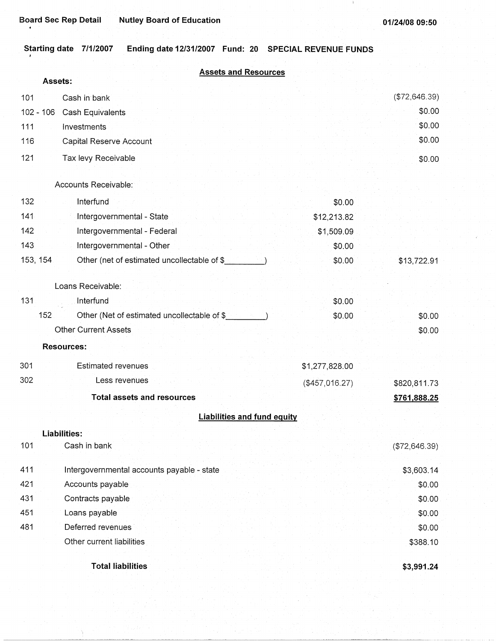$\mathbf i$ 

# **Starting date 7/1/2007 Ending date 12/31/2007 Fund: 20 SPECIAL REVENUE FUNDS**

|             | <b>Assets and Resources</b><br>Assets:       |                 |               |
|-------------|----------------------------------------------|-----------------|---------------|
| 101         | Cash in bank                                 |                 | (\$72,646.39) |
| $102 - 106$ | Cash Equivalents                             |                 | \$0.00        |
| 111         | Investments                                  |                 | \$0.00        |
| 116         | Capital Reserve Account                      |                 | \$0.00        |
| 121         |                                              |                 |               |
|             | Tax levy Receivable                          |                 | \$0.00        |
|             | Accounts Receivable:                         |                 |               |
| 132         | Interfund                                    | \$0.00          |               |
| 141         | Intergovernmental - State                    | \$12,213.82     |               |
| 142         | Intergovernmental - Federal                  | \$1,509.09      |               |
| 143         | Intergovernmental - Other                    | \$0.00          |               |
| 153, 154    | Other (net of estimated uncollectable of \$  | \$0.00          | \$13,722.91   |
|             |                                              |                 |               |
|             | Loans Receivable:                            |                 |               |
| 131         | Interfund                                    | \$0.00          |               |
| 152         | Other (Net of estimated uncollectable of \$_ | \$0.00          | \$0.00        |
|             | <b>Other Current Assets</b>                  |                 | \$0.00        |
|             | <b>Resources:</b>                            |                 |               |
| 301         | <b>Estimated revenues</b>                    | \$1,277,828.00  |               |
| 302         | Less revenues                                | ( \$457,016.27) | \$820,811.73  |
|             | <b>Total assets and resources</b>            |                 | \$761,888.25  |
|             | <b>Liabilities and fund equity</b>           |                 |               |
|             | Liabilities:                                 |                 |               |
| 101         | Cash in bank                                 |                 | (\$72,646.39) |
|             |                                              |                 |               |
| 411         | Intergovernmental accounts payable - state   |                 | \$3,603.14    |
| 421         | Accounts payable                             |                 | \$0.00        |
| 431         | Contracts payable                            |                 | \$0.00        |
| 451         | Loans payable                                |                 | \$0.00        |
| 481         | Deferred revenues                            |                 | \$0.00        |
|             | Other current liabilities                    |                 | \$388.10      |
|             | <b>Total liabilities</b>                     |                 | \$3,991.24    |
|             |                                              |                 |               |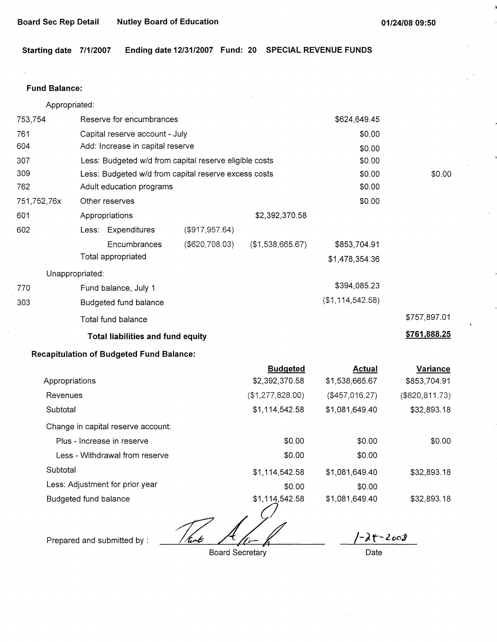**Starting date 7/1/2007 Ending date 12/31/2007 Fund: 20 SPECIAL REVENUE FUNDS** 

### **Fund Balance:**

Appropriated:

|                 | Total liabilities and fund equity                      |                   |                  |                  | \$761,888.25 |
|-----------------|--------------------------------------------------------|-------------------|------------------|------------------|--------------|
|                 | Total fund balance                                     |                   |                  |                  | \$757,897.01 |
| 303             | Budgeted fund balance                                  |                   |                  | (\$1,114,542.58) |              |
| 770             | Fund balance, July 1                                   |                   |                  | \$394,085.23     |              |
| Unappropriated: |                                                        |                   |                  |                  |              |
|                 | Total appropriated                                     |                   |                  | \$1,478,354.36   |              |
|                 | Encumbrances                                           | ( \$620, 708.03)  | (\$1,538,665.67) | \$853,704.91     |              |
| 602             | Less: Expenditures                                     | $($ \$917,957.64) |                  |                  |              |
| 601             | Appropriations                                         |                   | \$2,392,370.58   |                  |              |
| 751,752,76x     | Other reserves                                         |                   |                  | \$0.00           |              |
| 762             | Adult education programs                               |                   |                  | \$0.00           |              |
| 309             | Less: Budgeted w/d from capital reserve excess costs   |                   |                  | \$0.00           | \$0.00       |
| 307             | Less: Budgeted w/d from capital reserve eligible costs |                   |                  | \$0.00           |              |
| 604             | Add: Increase in capital reserve                       |                   |                  | \$0.00           |              |
| 761             | Capital reserve account - July                         |                   |                  | \$0.00           |              |
| 753,754         | Reserve for encumbrances                               |                   |                  | \$624,649.45     |              |

# **Recapitulation of Budgeted Fund Balance:**

|                                    | <b>Budgeted</b>  | <b>Actual</b>  | Variance        |
|------------------------------------|------------------|----------------|-----------------|
| Appropriations                     | \$2,392,370.58   | \$1,538,665.67 | \$853,704.91    |
| Revenues                           | (\$1,277,828.00) | (\$457,016.27) | (\$820, 811.73) |
| Subtotal                           | \$1,114,542.58   | \$1,081,649.40 | \$32,893.18     |
| Change in capital reserve account: |                  |                |                 |
| Plus - Increase in reserve         | \$0.00           | \$0.00         | \$0.00          |
| Less - Withdrawal from reserve     | \$0.00           | \$0.00         |                 |
| Subtotal                           | \$1,114,542.58   | \$1,081,649.40 | \$32,893.18     |
| Less: Adjustment for prior year    | \$0.00           | \$0.00         |                 |
| Budgeted fund balance              | \$1,114,542.58   | \$1,081,649.40 | \$32,893.18     |
|                                    |                  |                |                 |
|                                    |                  |                |                 |

/tent=

*L-;.* **'t--***z* <sup>001</sup>

Prepared and submitted by :

Board Secretary

Date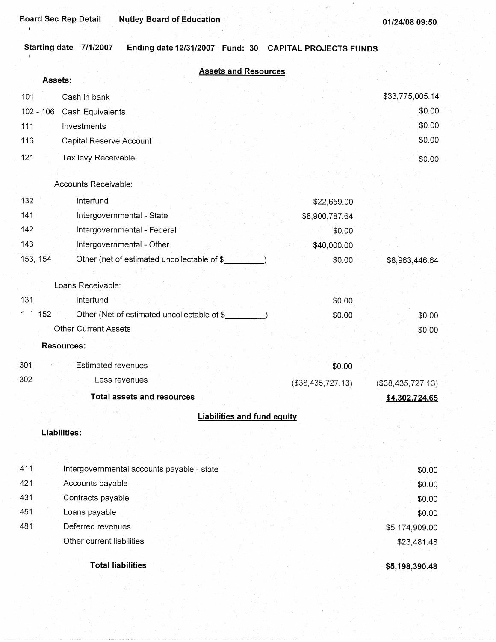$\bar{1}$ 

#### **Starting date 7/1/2007 Ending date 12/31/2007 Fund: 30 CAPITAL PROJECTS FUNDS**   $\theta$

|     | <b>Assets and Resources</b>                             |                   |                   |
|-----|---------------------------------------------------------|-------------------|-------------------|
|     | Assets:                                                 |                   |                   |
| 101 | Cash in bank                                            |                   | \$33,775,005.14   |
|     | $102 - 106$<br>Cash Equivalents                         |                   | \$0.00            |
| 111 | Investments                                             |                   | \$0.00            |
| 116 | Capital Reserve Account                                 |                   | \$0.00            |
| 121 | Tax levy Receivable                                     |                   | \$0.00            |
|     | Accounts Receivable:                                    |                   |                   |
| 132 | Interfund                                               | \$22,659.00       |                   |
| 141 | Intergovernmental - State                               | \$8,900,787.64    |                   |
| 142 | Intergovernmental - Federal                             | \$0.00            |                   |
| 143 | Intergovernmental - Other                               | \$40,000.00       |                   |
|     | 153, 154<br>Other (net of estimated uncollectable of \$ | \$0.00            | \$8,963,446.64    |
|     |                                                         |                   |                   |
|     | Loans Receivable:                                       |                   |                   |
| 131 | Interfund                                               | \$0.00            |                   |
|     | 152<br>Other (Net of estimated uncollectable of \$      | \$0.00            | \$0.00            |
|     | <b>Other Current Assets</b>                             |                   | \$0.00            |
|     | <b>Resources:</b>                                       |                   |                   |
| 301 | <b>Estimated revenues</b>                               | \$0.00            |                   |
| 302 | Less revenues                                           | (\$38,435,727.13) | (\$38,435,727.13) |
|     | <b>Total assets and resources</b>                       |                   | \$4,302,724.65    |
|     | <b>Liabilities and fund equity</b>                      |                   |                   |
|     | Liabilities:                                            |                   |                   |
| 411 | Intergovernmental accounts payable - state              |                   | \$0.00            |
| 421 | Accounts payable                                        |                   | \$0.00            |
| 431 | Contracts payable                                       |                   | \$0.00            |
| 451 | Loans payable                                           |                   | \$0.00            |
| 481 | Deferred revenues                                       |                   | \$5,174,909.00    |
|     | Other current liabilities                               |                   | \$23,481.48       |
|     |                                                         |                   |                   |

**Total liabilities** 

**\$5,198,390.48**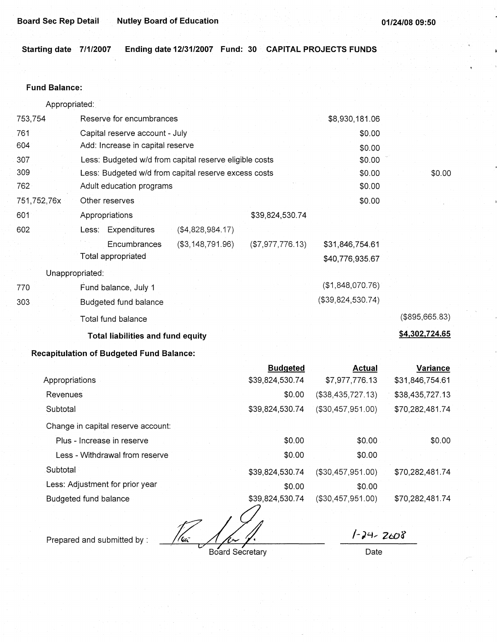**Starting date 7/1/2007 Ending date 12/31/2007 Fund: 30 CAPITAL PROJECTS FUNDS** 

### **Fund Balance:**

Appropriated:.

| 753,754         | Reserve for encumbrances                               | \$8,930,181.06                      |                  |
|-----------------|--------------------------------------------------------|-------------------------------------|------------------|
| 761             | Capital reserve account - July                         |                                     | \$0.00           |
| 604             | Add: Increase in capital reserve                       |                                     | \$0.00           |
| 307             | Less: Budgeted w/d from capital reserve eligible costs |                                     | \$0.00           |
| 309             | Less: Budgeted w/d from capital reserve excess costs   |                                     | \$0.00<br>\$0.00 |
| 762             | Adult education programs                               |                                     | \$0.00           |
| 751,752,76x     | Other reserves                                         |                                     | \$0.00           |
| 601             | Appropriations                                         | \$39,824,530.74                     |                  |
| 602             | Less: Expenditures<br>( \$4,828,984.17)                |                                     |                  |
|                 | (\$3,148,791.96)<br>Encumbrances                       | (\$7,977,776.13)<br>\$31,846,754.61 |                  |
|                 | Total appropriated                                     | \$40,776,935.67                     |                  |
| Unappropriated: |                                                        |                                     |                  |
| 770             | Fund balance, July 1                                   | (\$1,848,070.76)                    |                  |
| 303             | Budgeted fund balance                                  | (\$39,824,530.74)                   |                  |
|                 | Total fund balance                                     |                                     | (\$895,665.83)   |
|                 | <b>Total liabilities and fund equity</b>               |                                     | \$4,302,724.65   |
|                 | <b>Recapitulation of Budgeted Fund Balance:</b>        |                                     |                  |

|                                    | <b>Budgeted</b> | <b>Actual</b>     | Variance        |
|------------------------------------|-----------------|-------------------|-----------------|
| Appropriations                     | \$39,824,530.74 | \$7,977,776.13    | \$31,846,754.61 |
| Revenues                           | \$0.00          | (\$38,435,727.13) | \$38,435,727.13 |
| Subtotal                           | \$39,824,530.74 | (\$30,457,951.00) | \$70,282,481.74 |
| Change in capital reserve account: |                 |                   |                 |
| Plus - Increase in reserve         | \$0.00          | \$0.00            | \$0.00          |
| Less - Withdrawal from reserve     | \$0.00          | \$0.00            |                 |
| Subtotal                           | \$39,824,530.74 | (\$30,457,951.00) | \$70,282,481.74 |
| Less: Adjustment for prior year    | \$0.00          | \$0.00            |                 |
| Budgeted fund balance              | \$39,824,530.74 | (\$30,457,951.00) | \$70,282,481.74 |

Prepared and submitted by : *-~@* 

Board Secretary

*/-;4,* 260f

Date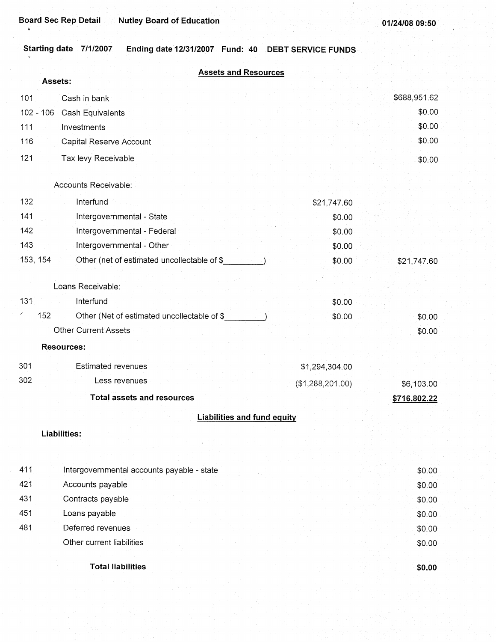×

# **Starting date 7/1/2007 Ending date 12/31/2007 Fund: 40 DEBT SERVICE FUNDS**

|     | Assets:     |                                             | <b>Assets and Resources</b>        |                  |              |
|-----|-------------|---------------------------------------------|------------------------------------|------------------|--------------|
| 101 |             | Cash in bank                                |                                    |                  | \$688,951.62 |
|     | $102 - 106$ | Cash Equivalents                            |                                    |                  | \$0.00       |
| 111 |             | Investments                                 |                                    |                  | \$0.00       |
| 116 |             | Capital Reserve Account                     |                                    |                  | \$0.00       |
| 121 |             | Tax levy Receivable                         |                                    |                  | \$0.00       |
|     |             | Accounts Receivable:                        |                                    |                  |              |
| 132 |             | Interfund                                   |                                    | \$21,747.60      |              |
| 141 |             | Intergovernmental - State                   |                                    | \$0.00           |              |
| 142 |             | Intergovernmental - Federal                 |                                    | \$0.00           |              |
| 143 |             | Intergovernmental - Other                   |                                    | \$0.00           |              |
|     | 153, 154    | Other (net of estimated uncollectable of \$ |                                    | \$0.00           | \$21,747.60  |
|     |             | Loans Receivable:                           |                                    |                  |              |
| 131 |             | Interfund                                   |                                    | \$0.00           |              |
|     | 152         | Other (Net of estimated uncollectable of \$ |                                    | \$0.00           | \$0.00       |
|     |             | <b>Other Current Assets</b>                 |                                    |                  | \$0.00       |
|     |             | <b>Resources:</b>                           |                                    |                  |              |
| 301 |             | <b>Estimated revenues</b>                   |                                    | \$1,294,304.00   |              |
| 302 |             | Less revenues                               |                                    | (\$1,288,201.00) | \$6,103.00   |
|     |             | <b>Total assets and resources</b>           |                                    |                  | \$716,802.22 |
|     |             |                                             | <b>Liabilities and fund equity</b> |                  |              |
|     |             | <b>Liabilities:</b>                         |                                    |                  |              |
|     |             |                                             |                                    |                  |              |
| 411 |             | Intergovernmental accounts payable - state  |                                    |                  | \$0.00       |
| 421 |             | Accounts payable                            |                                    |                  | \$0.00       |
| 431 |             | Contracts payable                           |                                    |                  | \$0.00       |
| 451 |             | Loans payable                               |                                    |                  | \$0.00       |
| 481 |             | Deferred revenues                           |                                    |                  | \$0.00       |
|     |             | Other current liabilities                   |                                    |                  | \$0.00       |
|     |             |                                             |                                    |                  |              |

**Total liabilities** 

**\$0.00**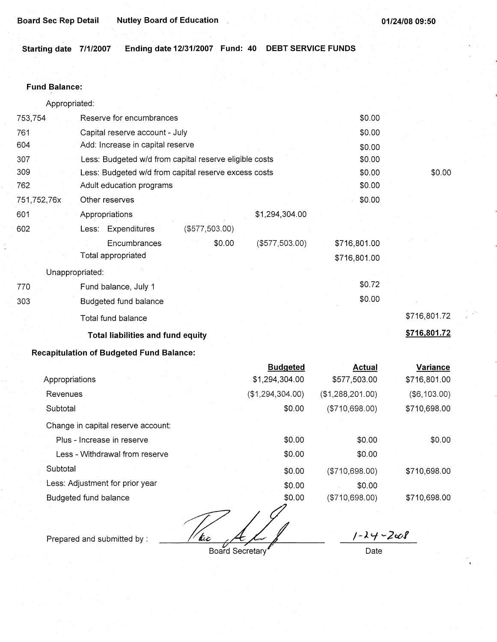**Starting date 7/1/2007 Ending date 12/31/2007 Fund: 40 DEBT SERVICE FUNDS** 

### **Fund Balance:**

| Appropriated: |  |
|---------------|--|
|               |  |

| Reserve for encumbrances                               | \$0.00          |              |
|--------------------------------------------------------|-----------------|--------------|
| Capital reserve account - July                         | \$0.00          |              |
| Add: Increase in capital reserve                       | \$0.00          |              |
| Less: Budgeted w/d from capital reserve eligible costs | \$0.00          |              |
| Less: Budgeted w/d from capital reserve excess costs   | \$0.00          | \$0.00       |
| Adult education programs                               | \$0.00          |              |
| Other reserves                                         | \$0.00          |              |
| \$1,294,304.00<br>Appropriations                       |                 |              |
| Less: Expenditures<br>$($ \$577,503.00)                |                 |              |
| \$0.00<br>$($ \$577,503.00).<br>Encumbrances           | \$716,801.00    |              |
| Total appropriated                                     | \$716,801.00    |              |
|                                                        |                 |              |
| Fund balance, July 1                                   | \$0.72          |              |
| Budgeted fund balance                                  | \$0.00          |              |
| Total fund balance                                     |                 | \$716,801.72 |
| <b>Total liabilities and fund equity</b>               |                 | \$716,801.72 |
|                                                        | Unappropriated: |              |

# **Recapitulation of Budgeted Fund Balance:**

|                                    | <b>Budgeted</b>  | Actual           | Variance        |
|------------------------------------|------------------|------------------|-----------------|
| Appropriations                     | \$1,294,304.00   | \$577,503.00     | \$716,801.00    |
| Revenues                           | (\$1,294,304.00) | (\$1,288,201.00) | $($ \$6,103.00) |
| Subtotal                           | \$0.00           | (\$710,698.00)   | \$710,698.00    |
| Change in capital reserve account: |                  |                  |                 |
| Plus - Increase in reserve         | \$0.00           | \$0.00           | \$0.00          |
| Less - Withdrawal from reserve     | \$0.00           | \$0.00           |                 |
| Subtotal                           | \$0.00           | (\$710,698.00)   | \$710,698.00    |
| Less: Adjustment for prior year    | \$0.00           | \$0.00           |                 |
| Budgeted fund balance              | \$0.00           | (\$710,698.00)   | \$710,698.00    |
|                                    |                  |                  |                 |

The ALL

Prepared and submitted by :

 $1 - \lambda + - 2\omega$ 

Date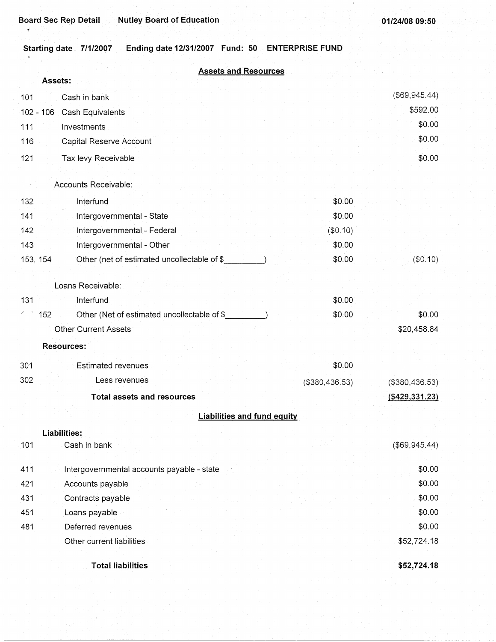**Starting date 7/1/2007 Ending date 12/31/2007 Fund: 50 ENTERPRISE FUND** 

|  |  | <b>Assets and Resources</b> |  |
|--|--|-----------------------------|--|
|  |  |                             |  |

|          | Assets:                                            |                  |                     |
|----------|----------------------------------------------------|------------------|---------------------|
| 101      | Cash in bank                                       |                  | (\$69,945.44)       |
|          | 102 - 106 Cash Equivalents                         |                  | \$592.00            |
| 111      | Investments                                        |                  | \$0.00              |
| 116      | Capital Reserve Account                            |                  | \$0.00              |
| 121      | Tax levy Receivable                                |                  | \$0.00              |
|          | Accounts Receivable:                               |                  |                     |
| 132      | Interfund                                          | \$0.00           |                     |
| 141      | Intergovernmental - State                          | \$0.00           |                     |
| 142      | Intergovernmental - Federal                        | (\$0.10)         |                     |
| 143      | Intergovernmental - Other                          | \$0.00           |                     |
| 153, 154 | Other (net of estimated uncollectable of \$        | \$0.00           | (\$0.10)            |
|          |                                                    |                  |                     |
|          | Loans Receivable:                                  |                  |                     |
| 131      | Interfund                                          | \$0.00           |                     |
|          | 152<br>Other (Net of estimated uncollectable of \$ | \$0.00           | \$0.00              |
|          | <b>Other Current Assets</b>                        |                  | \$20,458.84         |
|          | Resources:                                         |                  |                     |
| 301      | Estimated revenues                                 | \$0.00           |                     |
| 302      | Less revenues                                      | ( \$380, 436.53) | ( \$380, 436.53)    |
|          | <b>Total assets and resources</b>                  |                  | $($ \$429,331.23)   |
|          | <b>Liabilities and fund equity</b>                 |                  |                     |
|          | Liabilities:                                       |                  |                     |
| 101      | Cash in bank                                       |                  | $($ \$69,945.44 $)$ |
| 411      | Intergovernmental accounts payable - state         |                  | \$0.00              |
| 421      | Accounts payable                                   |                  | \$0.00              |
| 431      | Contracts payable                                  |                  | \$0.00              |
| 451      | Loans payable                                      |                  | \$0.00              |
| 481      | Deferred revenues                                  |                  | \$0.00              |
|          | Other current liabilities                          |                  | \$52,724.18         |
|          | <b>Total liabilities</b>                           |                  | \$52,724.18         |

---------~~-------------------------------·-- -·· ·-- ·-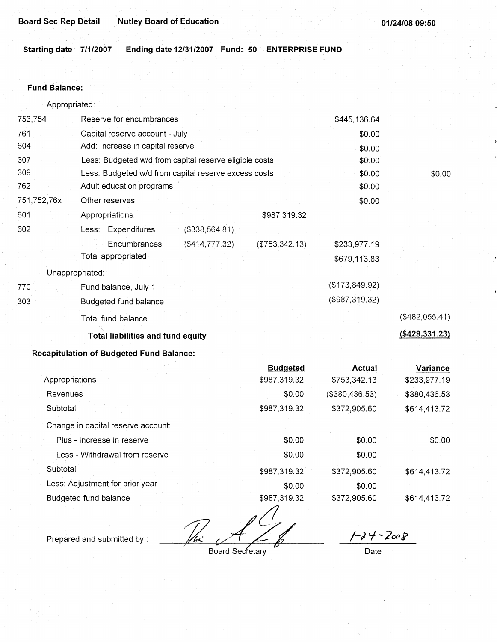**Starting date 7/1/2007 Ending date 12/31/2007 Fund: 50 ENTERPRISE FUND** 

### **Fund Balance:**

753,754 761 604 Appropriated: Reserve for encumbrances Capital reserve account - July Add: Increase in capital reserve 307 309 762 751,752,76x 601 Less: Budgeted w/d from capital reserve eligible costs Less: Budgeted w/d from capital reserve excess costs Adult education programs 602 770 303 Other reserves Appropriations Less: Expenditures **Encumbrances** Total appropriated Unappropriated: Fund balance, July 1 Budgeted fund balance Total fund balance (\$338,564.81) (\$414,777.32) \$987,319.32 (\$753,342.13) **Total liabilities and fund equity Recapitulation of Budgeted Fund Balance:**  \$445, 136.64 \$0.00 \$0.00 \$0.00 \$0.00 \$0.00 \$0.00 \$233,977.19 \$679,113.83 (\$173,849.92) (\$987,319.32) \$0.00 (\$482,055.41)

|                                    | <b>Budgeted</b> | Actual         | Variance     |
|------------------------------------|-----------------|----------------|--------------|
| Appropriations                     | \$987,319.32    | \$753,342.13   | \$233,977.19 |
| Revenues                           | \$0.00          | (\$380,436.53) | \$380,436.53 |
| Subtotal                           | \$987,319.32    | \$372,905.60   | \$614,413.72 |
| Change in capital reserve account: |                 |                |              |
| Plus - Increase in reserve         | \$0.00          | \$0.00         | \$0.00       |
| Less - Withdrawal from reserve     | \$0.00          | \$0.00         |              |
| Subtotal                           | \$987,319.32    | \$372,905.60   | \$614,413.72 |
| Less: Adjustment for prior year    | \$0.00          | \$0.00         |              |
| Budgeted fund balance              | \$987,319.32    | \$372,905.60   | \$614,413.72 |

 $\mathbb{Z}$   $\mathbb{Z}$ 

 $1 - 24 - 2008$ 

Prepared and submitted by :

**Board Secretary** 

Date

**(\$429,331.23)**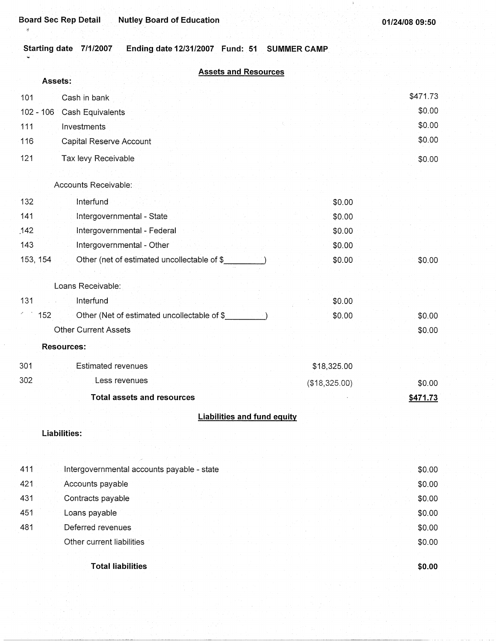**Starting date 7/1/2007 Ending date 12/31/2007 Fund: 51 SUMMER CAMP** 

|     | <b>Assets and Resources</b><br>Assets:                  |               |          |
|-----|---------------------------------------------------------|---------------|----------|
| 101 | Cash in bank                                            |               | \$471.73 |
|     | $102 - 106$<br>Cash Equivalents                         |               | \$0.00   |
| 111 | Investments                                             |               | \$0.00   |
| 116 | Capital Reserve Account                                 |               | \$0.00   |
| 121 | Tax levy Receivable                                     |               | \$0.00   |
|     | Accounts Receivable:                                    |               |          |
| 132 | Interfund                                               | \$0.00        |          |
| 141 | Intergovernmental - State                               | \$0.00        |          |
| 142 | Intergovernmental - Federal                             | \$0.00        |          |
| 143 | Intergovernmental - Other                               | \$0.00        |          |
|     | 153, 154<br>Other (net of estimated uncollectable of \$ | \$0.00        | \$0.00   |
|     | Loans Receivable:                                       |               |          |
| 131 | Interfund                                               | \$0.00        |          |
|     | 152<br>Other (Net of estimated uncollectable of \$      | \$0.00        | \$0.00   |
|     | <b>Other Current Assets</b>                             |               | \$0.00   |
|     | <b>Resources:</b>                                       |               |          |
| 301 | <b>Estimated revenues</b>                               | \$18,325.00   |          |
| 302 | Less revenues                                           | (\$18,325.00) | \$0.00   |
|     | <b>Total assets and resources</b>                       |               | \$471.73 |
|     | <b>Liabilities and fund equity</b>                      |               |          |
|     |                                                         |               |          |
|     | Liabilities:                                            |               |          |
|     |                                                         |               |          |
| 411 | Intergovernmental accounts payable - state              |               | \$0.00   |
| 421 | Accounts payable                                        |               | \$0.00   |
| 431 | Contracts payable                                       |               | \$0.00   |
| 451 | Loans payable                                           |               | \$0.00   |
| 481 | Deferred revenues                                       |               | \$0.00   |
|     | Other current liabilities                               |               | \$0.00   |
|     | <b>Total liabilities</b>                                |               | \$0.00   |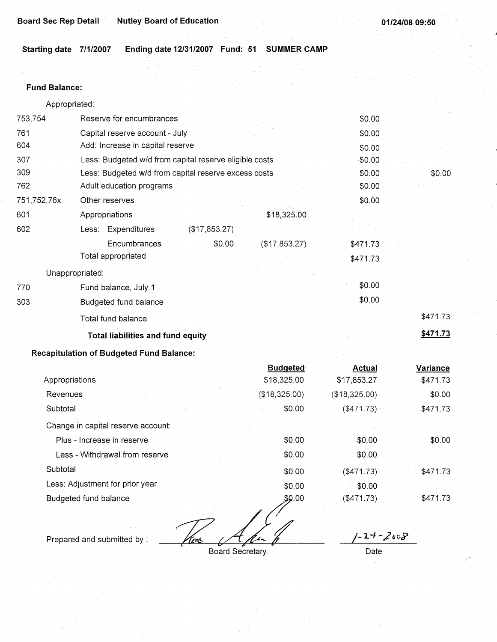Starting date 7/1/2007 Ending date 12/31/2007 Fund: 51 SUMMER CAMP

### **Fund Balance:**

Appropriated:

| 753,754         | Reserve for encumbrances                               | \$0.00   |          |
|-----------------|--------------------------------------------------------|----------|----------|
| 761             | Capital reserve account - July                         | \$0.00   |          |
| 604             | Add: Increase in capital reserve                       | \$0.00   |          |
| 307             | Less: Budgeted w/d from capital reserve eligible costs | \$0.00   |          |
| 309             | Less: Budgeted w/d from capital reserve excess costs   | \$0.00   | \$0.00   |
| 762             | Adult education programs                               | \$0.00   |          |
| 751,752,76x     | Other reserves                                         | \$0.00   |          |
| 601             | \$18,325.00<br>Appropriations                          |          |          |
| 602             | Less: Expenditures<br>(\$17,853.27)                    |          |          |
|                 | Encumbrances<br>\$0.00<br>(\$17,853.27)                | \$471.73 |          |
|                 | Total appropriated                                     | \$471.73 |          |
| Unappropriated: |                                                        |          |          |
| 770             | Fund balance, July 1                                   | \$0.00   |          |
| 303             | Budgeted fund balance                                  | \$0.00   |          |
|                 | Total fund balance                                     |          | \$471.73 |
|                 | <b>Total liabilities and fund equity</b>               |          | \$471.73 |

# **Recapitulation of Budgeted Fund Balance:**

|                                    | <b>Budgeted</b> | Actual        | Variance |
|------------------------------------|-----------------|---------------|----------|
| Appropriations                     | \$18,325.00     | \$17,853.27   | \$471.73 |
| Revenues                           | (\$18,325.00)   | (\$18,325.00) | \$0.00   |
| Subtotal                           | \$0.00          | (\$471.73)    | \$471.73 |
| Change in capital reserve account: |                 |               |          |
| Plus - Increase in reserve         | \$0.00          | \$0.00        | \$0.00   |
| Less - Withdrawal from reserve     | \$0.00          | \$0.00        |          |
| Subtotal                           | \$0.00          | (\$471.73)    | \$471.73 |
| Less: Adjustment for prior year    | \$0.00          | \$0.00        |          |
| Budgeted fund balance              | \$9.00          | ( \$471.73)   | \$471.73 |

Tex

Prepared and submitted by :

Board Secretary.

 $1 - 2 + - 2008$ 

Date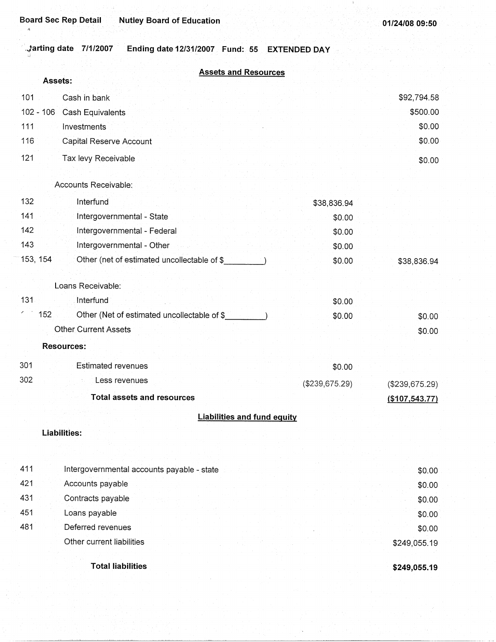# **. .tarting date .7/1/2007 Ending date 12/31/2007 Fund: 55 EXTENDED DAY**

| <b>Assets and Resources</b> |  |  |
|-----------------------------|--|--|
|                             |  |  |
|                             |  |  |
|                             |  |  |
|                             |  |  |

|     | Assets:                                                 |                |                |
|-----|---------------------------------------------------------|----------------|----------------|
| 101 | Cash in bank                                            |                | \$92,794.58    |
|     | $102 - 106$<br>Cash Equivalents                         |                | \$500.00       |
| 111 | Investments                                             |                | \$0.00         |
| 116 | Capital Reserve Account                                 |                | \$0.00         |
| 121 | Tax levy Receivable                                     |                | \$0.00         |
|     |                                                         |                |                |
|     | Accounts Receivable:                                    |                |                |
| 132 | Interfund                                               | \$38,836.94    |                |
| 141 | Intergovernmental - State                               | \$0.00         |                |
| 142 | Intergovernmental - Federal                             | \$0.00         |                |
| 143 | Intergovernmental - Other                               | \$0.00         |                |
|     | 153, 154<br>Other (net of estimated uncollectable of \$ | \$0.00         | \$38,836.94    |
|     |                                                         |                |                |
|     | Loans Receivable:                                       |                |                |
| 131 | Interfund                                               | \$0.00         |                |
|     | 152<br>Other (Net of estimated uncollectable of \$      | \$0.00         | \$0.00         |
|     | <b>Other Current Assets</b>                             |                | \$0.00         |
|     | <b>Resources:</b>                                       |                |                |
| 301 | <b>Estimated revenues</b>                               | \$0.00         |                |
| 302 | Less revenues                                           | (\$239,675.29) | (\$239,675.29) |
|     | <b>Total assets and resources</b>                       |                | (\$107,543.77) |
|     | <b>Liabilities and fund equity</b>                      |                |                |
|     | <b>Liabilities:</b>                                     |                |                |
|     |                                                         |                |                |
|     |                                                         |                |                |
| 411 | Intergovernmental accounts payable - state              |                | \$0.00         |
| 421 | Accounts payable                                        |                | \$0.00         |
| 431 | Contracts payable                                       |                | \$0.00         |
| 451 | Loans payable                                           |                | \$0.00         |
| 481 | Deferred revenues                                       |                | \$0.00         |
|     | Other current liabilities                               |                | \$249,055.19   |
|     | <b>Total liabilities</b>                                |                | \$249,055.19   |
|     |                                                         |                |                |